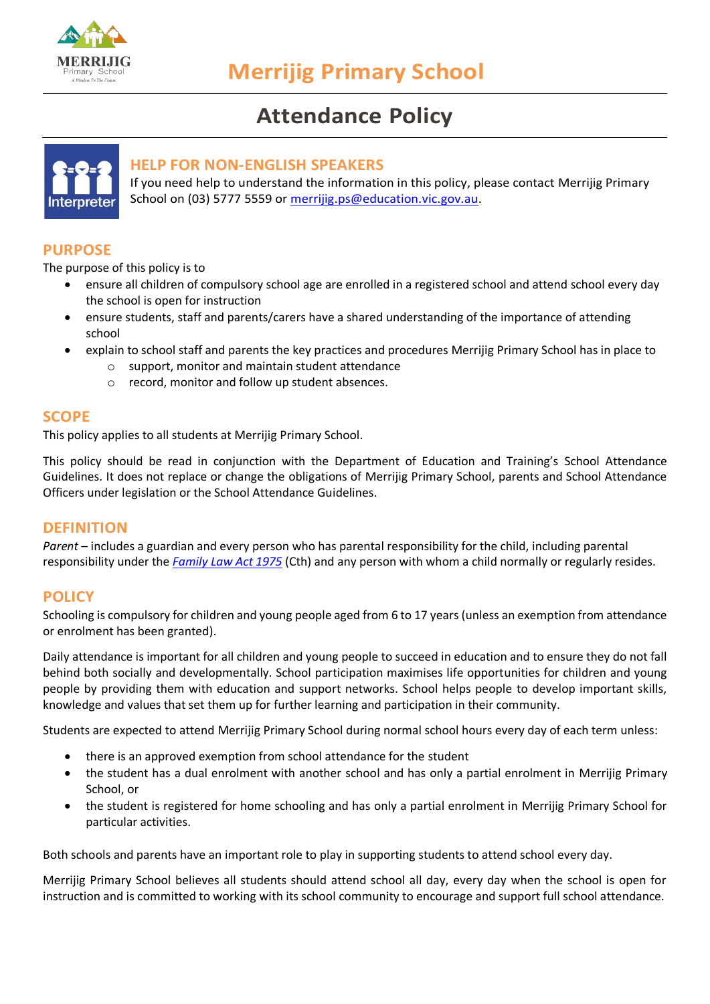

# **Attendance Policy**



# **HELP FOR NON-ENGLISH SPEAKERS**

If you need help to understand the information in this policy, please contact Merrijig Primary School on (03) 5777 5559 or [merrijig.ps@education.vic.gov.au.](mailto:merrijig.ps@education.vic.gov.au)

# **PURPOSE**

The purpose of this policy is to

- ensure all children of compulsory school age are enrolled in a registered school and attend school every day the school is open for instruction
- ensure students, staff and parents/carers have a shared understanding of the importance of attending school
- explain to school staff and parents the key practices and procedures Merrijig Primary School has in place to
	- o support, monitor and maintain student attendance
	- o record, monitor and follow up student absences.

## **SCOPE**

This policy applies to all students at Merrijig Primary School.

This policy should be read in conjunction with the Department of Education and Training's [School Attendance](https://www2.education.vic.gov.au/pal/attendance/guidance)  [Guidelines.](https://www2.education.vic.gov.au/pal/attendance/guidance) It does not replace or change the obligations of Merrijig Primary School, parents and School Attendance Officers under legislation or the School Attendance Guidelines.

## **DEFINITION**

*Parent* – includes a guardian and every person who has parental responsibility for the child, including parental responsibility under the *[Family Law Act 1975](https://www.legislation.gov.au/Details/C2019C00101)* (Cth) and any person with whom a child normally or regularly resides.

# **POLICY**

Schooling is compulsory for children and young people aged from 6 to 17 years (unless an exemption from attendance or enrolment has been granted).

Daily attendance is important for all children and young people to succeed in education and to ensure they do not fall behind both socially and developmentally. School participation maximises life opportunities for children and young people by providing them with education and support networks. School helps people to develop important skills, knowledge and values that set them up for further learning and participation in their community.

Students are expected to attend Merrijig Primary School during normal school hours every day of each term unless:

- there is an approved exemption from school attendance for the student
- the student has a dual enrolment with another school and has only a partial enrolment in Merrijig Primary School, or
- the student is registered for home schooling and has only a partial enrolment in Merrijig Primary School for particular activities.

Both schools and parents have an important role to play in supporting students to attend school every day.

Merrijig Primary School believes all students should attend school all day, every day when the school is open for instruction and is committed to working with its school community to encourage and support full school attendance.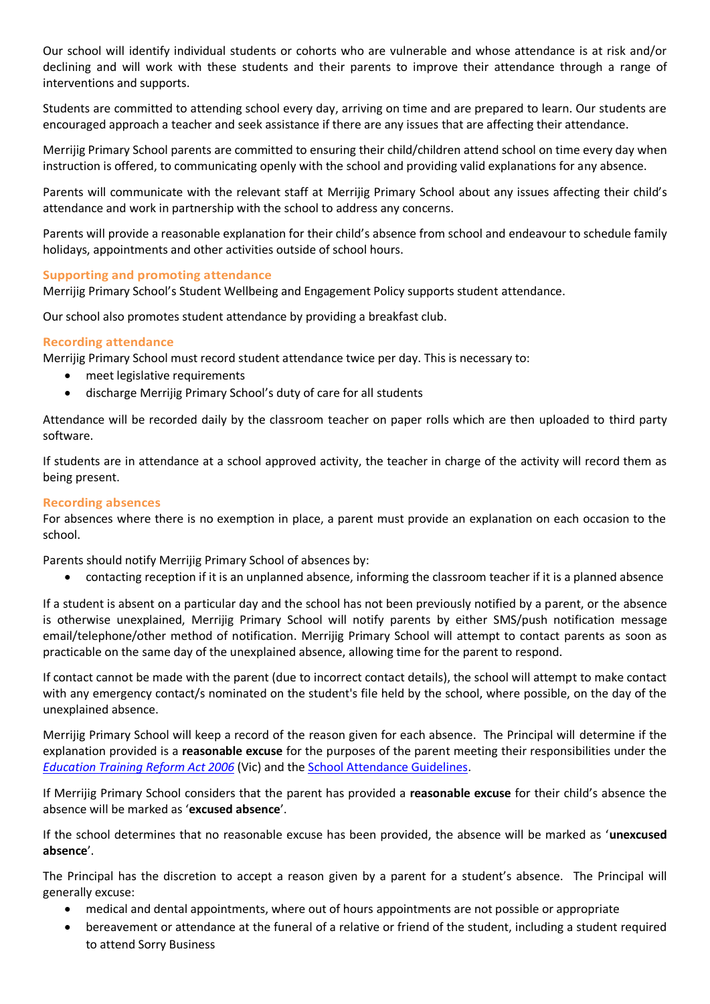Our school will identify individual students or cohorts who are vulnerable and whose attendance is at risk and/or declining and will work with these students and their parents to improve their attendance through a range of interventions and supports.

Students are committed to attending school every day, arriving on time and are prepared to learn. Our students are encouraged approach a teacher and seek assistance if there are any issues that are affecting their attendance.

Merrijig Primary School parents are committed to ensuring their child/children attend school on time every day when instruction is offered, to communicating openly with the school and providing valid explanations for any absence.

Parents will communicate with the relevant staff at Merrijig Primary School about any issues affecting their child's attendance and work in partnership with the school to address any concerns.

Parents will provide a reasonable explanation for their child's absence from school and endeavour to schedule family holidays, appointments and other activities outside of school hours.

#### **Supporting and promoting attendance**

Merrijig Primary School's Student Wellbeing and Engagement Policy supports student attendance.

Our school also promotes student attendance by providing a breakfast club.

#### **Recording attendance**

Merrijig Primary School must record student attendance twice per day. This is necessary to:

- meet legislative requirements
- discharge Merrijig Primary School's duty of care for all students

Attendance will be recorded daily by the classroom teacher on paper rolls which are then uploaded to third party software.

If students are in attendance at a school approved activity, the teacher in charge of the activity will record them as being present.

#### **Recording absences**

For absences where there is no exemption in place, a parent must provide an explanation on each occasion to the school.

Parents should notify Merrijig Primary School of absences by:

• contacting reception if it is an unplanned absence, informing the classroom teacher if it is a planned absence

If a student is absent on a particular day and the school has not been previously notified by a parent, or the absence is otherwise unexplained, Merrijig Primary School will notify parents by either SMS/push notification message email/telephone/other method of notification. Merrijig Primary School will attempt to contact parents as soon as practicable on the same day of the unexplained absence, allowing time for the parent to respond.

If contact cannot be made with the parent (due to incorrect contact details), the school will attempt to make contact with any emergency contact/s nominated on the student's file held by the school, where possible, on the day of the unexplained absence.

Merrijig Primary School will keep a record of the reason given for each absence. The Principal will determine if the explanation provided is a **reasonable excuse** for the purposes of the parent meeting their responsibilities under the *[Education Training](https://www.legislation.vic.gov.au/in-force/acts/education-and-training-reform-act-2006/) Reform Act 2006* (Vic) and the [School Attendance Guidelines.](https://www2.education.vic.gov.au/pal/attendance/guidance)

If Merrijig Primary School considers that the parent has provided a **reasonable excuse** for their child's absence the absence will be marked as '**excused absence**'.

If the school determines that no reasonable excuse has been provided, the absence will be marked as '**unexcused absence**'.

The Principal has the discretion to accept a reason given by a parent for a student's absence. The Principal will generally excuse:

- medical and dental appointments, where out of hours appointments are not possible or appropriate
- bereavement or attendance at the funeral of a relative or friend of the student, including a student required to attend Sorry Business